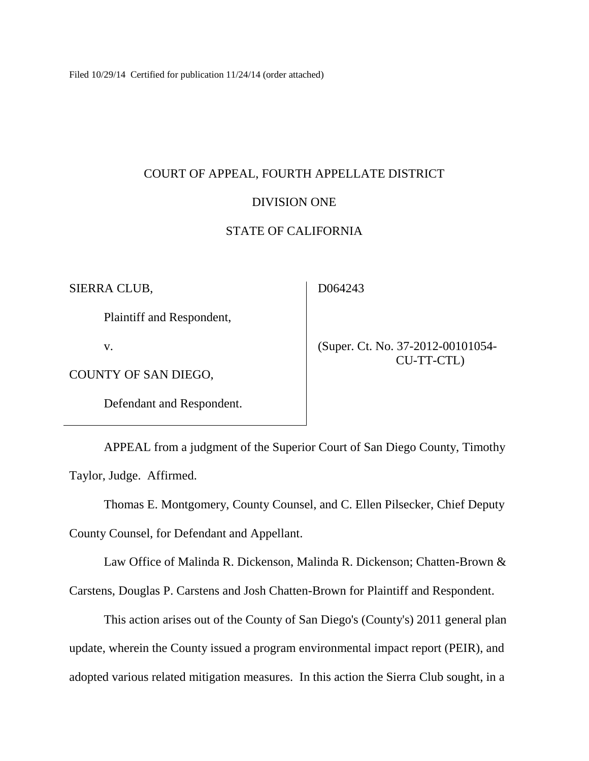Filed 10/29/14 Certified for publication 11/24/14 (order attached)

# COURT OF APPEAL, FOURTH APPELLATE DISTRICT

# DIVISION ONE

# STATE OF CALIFORNIA

SIERRA CLUB,

D064243

Plaintiff and Respondent,

v.

 (Super. Ct. No. 37-2012-00101054- CU-TT-CTL)

COUNTY OF SAN DIEGO,

Defendant and Respondent.

APPEAL from a judgment of the Superior Court of San Diego County, Timothy Taylor, Judge. Affirmed.

Thomas E. Montgomery, County Counsel, and C. Ellen Pilsecker, Chief Deputy

County Counsel, for Defendant and Appellant.

Law Office of Malinda R. Dickenson, Malinda R. Dickenson; Chatten-Brown &

Carstens, Douglas P. Carstens and Josh Chatten-Brown for Plaintiff and Respondent.

This action arises out of the County of San Diego's (County's) 2011 general plan update, wherein the County issued a program environmental impact report (PEIR), and adopted various related mitigation measures. In this action the Sierra Club sought, in a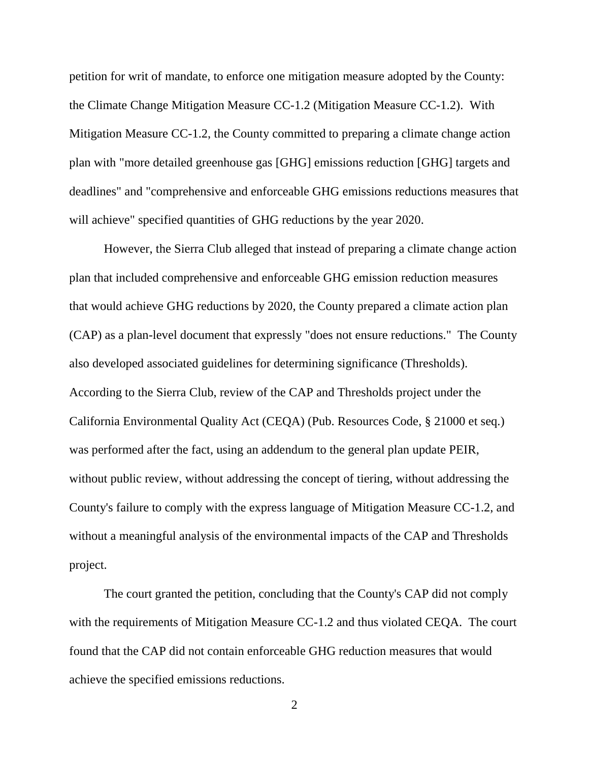petition for writ of mandate, to enforce one mitigation measure adopted by the County: the Climate Change Mitigation Measure CC-1.2 (Mitigation Measure CC-1.2). With Mitigation Measure CC-1.2, the County committed to preparing a climate change action plan with "more detailed greenhouse gas [GHG] emissions reduction [GHG] targets and deadlines" and "comprehensive and enforceable GHG emissions reductions measures that will achieve" specified quantities of GHG reductions by the year 2020.

However, the Sierra Club alleged that instead of preparing a climate change action plan that included comprehensive and enforceable GHG emission reduction measures that would achieve GHG reductions by 2020, the County prepared a climate action plan (CAP) as a plan-level document that expressly "does not ensure reductions." The County also developed associated guidelines for determining significance (Thresholds). According to the Sierra Club, review of the CAP and Thresholds project under the California Environmental Quality Act (CEQA) (Pub. Resources Code, § 21000 et seq.) was performed after the fact, using an addendum to the general plan update PEIR, without public review, without addressing the concept of tiering, without addressing the County's failure to comply with the express language of Mitigation Measure CC-1.2, and without a meaningful analysis of the environmental impacts of the CAP and Thresholds project.

The court granted the petition, concluding that the County's CAP did not comply with the requirements of Mitigation Measure CC-1.2 and thus violated CEQA. The court found that the CAP did not contain enforceable GHG reduction measures that would achieve the specified emissions reductions.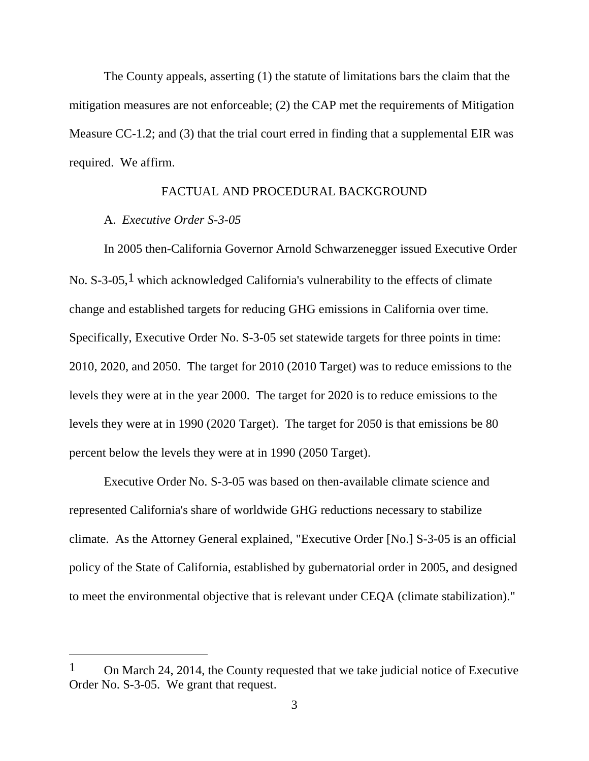The County appeals, asserting (1) the statute of limitations bars the claim that the mitigation measures are not enforceable; (2) the CAP met the requirements of Mitigation Measure CC-1.2; and (3) that the trial court erred in finding that a supplemental EIR was required. We affirm.

## FACTUAL AND PROCEDURAL BACKGROUND

## A. *Executive Order S-3-05*

 $\overline{a}$ 

In 2005 then-California Governor Arnold Schwarzenegger issued Executive Order No.  $S$ -3-05,<sup>1</sup> which acknowledged California's vulnerability to the effects of climate change and established targets for reducing GHG emissions in California over time. Specifically, Executive Order No. S-3-05 set statewide targets for three points in time: 2010, 2020, and 2050. The target for 2010 (2010 Target) was to reduce emissions to the levels they were at in the year 2000. The target for 2020 is to reduce emissions to the levels they were at in 1990 (2020 Target). The target for 2050 is that emissions be 80 percent below the levels they were at in 1990 (2050 Target).

Executive Order No. S-3-05 was based on then-available climate science and represented California's share of worldwide GHG reductions necessary to stabilize climate. As the Attorney General explained, "Executive Order [No.] S-3-05 is an official policy of the State of California, established by gubernatorial order in 2005, and designed to meet the environmental objective that is relevant under CEQA (climate stabilization)."

 $1$  On March 24, 2014, the County requested that we take judicial notice of Executive Order No. S-3-05. We grant that request.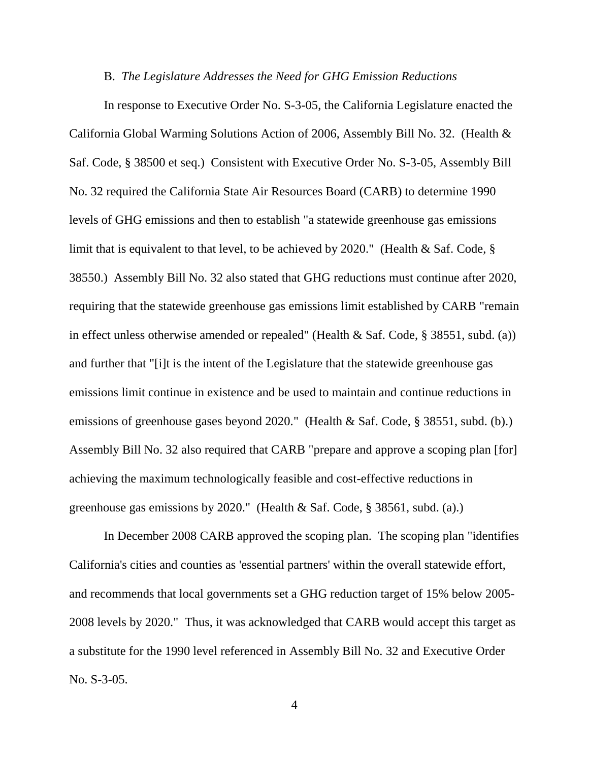#### B. *The Legislature Addresses the Need for GHG Emission Reductions*

In response to Executive Order No. S-3-05, the California Legislature enacted the California Global Warming Solutions Action of 2006, Assembly Bill No. 32. (Health & Saf. Code, § 38500 et seq.) Consistent with Executive Order No. S-3-05, Assembly Bill No. 32 required the California State Air Resources Board (CARB) to determine 1990 levels of GHG emissions and then to establish "a statewide greenhouse gas emissions limit that is equivalent to that level, to be achieved by 2020." (Health  $\&$  Saf. Code,  $\S$ 38550.) Assembly Bill No. 32 also stated that GHG reductions must continue after 2020, requiring that the statewide greenhouse gas emissions limit established by CARB "remain in effect unless otherwise amended or repealed" (Health & Saf. Code, § 38551, subd. (a)) and further that "[i]t is the intent of the Legislature that the statewide greenhouse gas emissions limit continue in existence and be used to maintain and continue reductions in emissions of greenhouse gases beyond 2020." (Health & Saf. Code, § 38551, subd. (b).) Assembly Bill No. 32 also required that CARB "prepare and approve a scoping plan [for] achieving the maximum technologically feasible and cost-effective reductions in greenhouse gas emissions by 2020." (Health & Saf. Code, § 38561, subd. (a).)

In December 2008 CARB approved the scoping plan. The scoping plan "identifies California's cities and counties as 'essential partners' within the overall statewide effort, and recommends that local governments set a GHG reduction target of 15% below 2005- 2008 levels by 2020." Thus, it was acknowledged that CARB would accept this target as a substitute for the 1990 level referenced in Assembly Bill No. 32 and Executive Order No. S-3-05.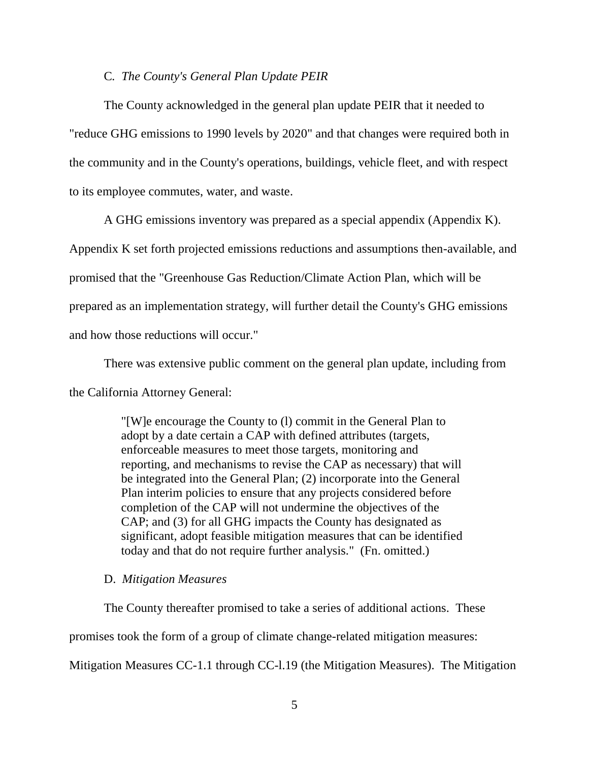### C*. The County's General Plan Update PEIR*

The County acknowledged in the general plan update PEIR that it needed to "reduce GHG emissions to 1990 levels by 2020" and that changes were required both in the community and in the County's operations, buildings, vehicle fleet, and with respect to its employee commutes, water, and waste.

A GHG emissions inventory was prepared as a special appendix (Appendix K).

Appendix K set forth projected emissions reductions and assumptions then-available, and promised that the "Greenhouse Gas Reduction/Climate Action Plan, which will be prepared as an implementation strategy, will further detail the County's GHG emissions and how those reductions will occur."

There was extensive public comment on the general plan update, including from the California Attorney General:

> "[W]e encourage the County to (l) commit in the General Plan to adopt by a date certain a CAP with defined attributes (targets, enforceable measures to meet those targets, monitoring and reporting, and mechanisms to revise the CAP as necessary) that will be integrated into the General Plan; (2) incorporate into the General Plan interim policies to ensure that any projects considered before completion of the CAP will not undermine the objectives of the CAP; and (3) for all GHG impacts the County has designated as significant, adopt feasible mitigation measures that can be identified today and that do not require further analysis." (Fn. omitted.)

## D. *Mitigation Measures*

The County thereafter promised to take a series of additional actions. These

promises took the form of a group of climate change-related mitigation measures:

Mitigation Measures CC-1.1 through CC-l.19 (the Mitigation Measures). The Mitigation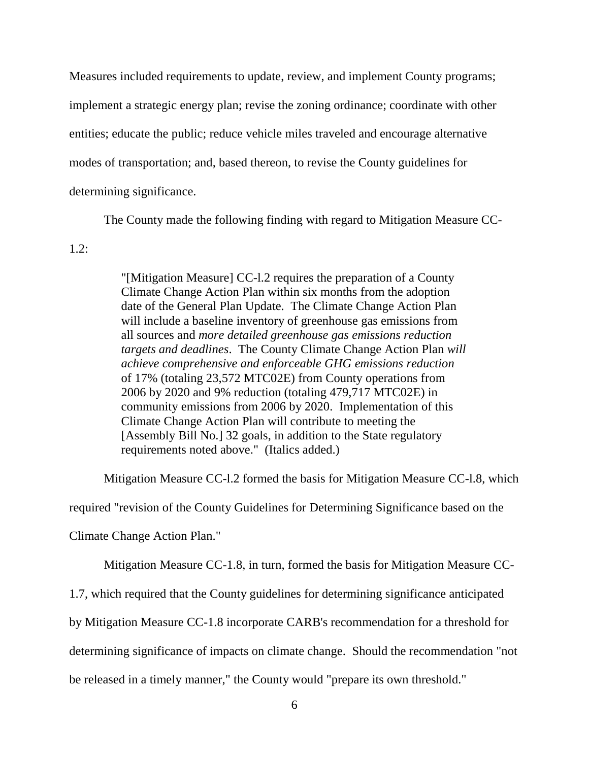Measures included requirements to update, review, and implement County programs; implement a strategic energy plan; revise the zoning ordinance; coordinate with other entities; educate the public; reduce vehicle miles traveled and encourage alternative modes of transportation; and, based thereon, to revise the County guidelines for determining significance.

The County made the following finding with regard to Mitigation Measure CC-

1.2:

"[Mitigation Measure] CC-l.2 requires the preparation of a County Climate Change Action Plan within six months from the adoption date of the General Plan Update. The Climate Change Action Plan will include a baseline inventory of greenhouse gas emissions from all sources and *more detailed greenhouse gas emissions reduction targets and deadlines*. The County Climate Change Action Plan *will achieve comprehensive and enforceable GHG emissions reduction* of 17% (totaling 23,572 MTC02E) from County operations from 2006 by 2020 and 9% reduction (totaling 479,717 MTC02E) in community emissions from 2006 by 2020. Implementation of this Climate Change Action Plan will contribute to meeting the [Assembly Bill No.] 32 goals, in addition to the State regulatory requirements noted above." (Italics added.)

Mitigation Measure CC-l.2 formed the basis for Mitigation Measure CC-l.8, which

required "revision of the County Guidelines for Determining Significance based on the

Climate Change Action Plan."

Mitigation Measure CC-1.8, in turn, formed the basis for Mitigation Measure CC-

1.7, which required that the County guidelines for determining significance anticipated

by Mitigation Measure CC-1.8 incorporate CARB's recommendation for a threshold for

determining significance of impacts on climate change. Should the recommendation "not

be released in a timely manner," the County would "prepare its own threshold."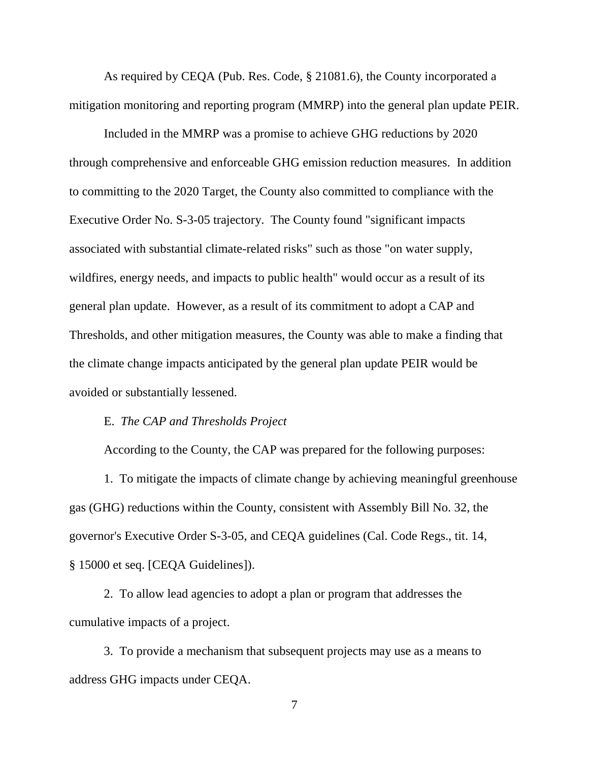As required by CEQA (Pub. Res. Code, § 21081.6), the County incorporated a mitigation monitoring and reporting program (MMRP) into the general plan update PEIR.

Included in the MMRP was a promise to achieve GHG reductions by 2020 through comprehensive and enforceable GHG emission reduction measures. In addition to committing to the 2020 Target, the County also committed to compliance with the Executive Order No. S-3-05 trajectory. The County found "significant impacts associated with substantial climate-related risks" such as those "on water supply, wildfires, energy needs, and impacts to public health" would occur as a result of its general plan update. However, as a result of its commitment to adopt a CAP and Thresholds, and other mitigation measures, the County was able to make a finding that the climate change impacts anticipated by the general plan update PEIR would be avoided or substantially lessened.

## E. *The CAP and Thresholds Project*

According to the County, the CAP was prepared for the following purposes:

1. To mitigate the impacts of climate change by achieving meaningful greenhouse gas (GHG) reductions within the County, consistent with Assembly Bill No. 32, the governor's Executive Order S-3-05, and CEQA guidelines (Cal. Code Regs., tit. 14, § 15000 et seq. [CEQA Guidelines]).

2. To allow lead agencies to adopt a plan or program that addresses the cumulative impacts of a project.

3. To provide a mechanism that subsequent projects may use as a means to address GHG impacts under CEQA.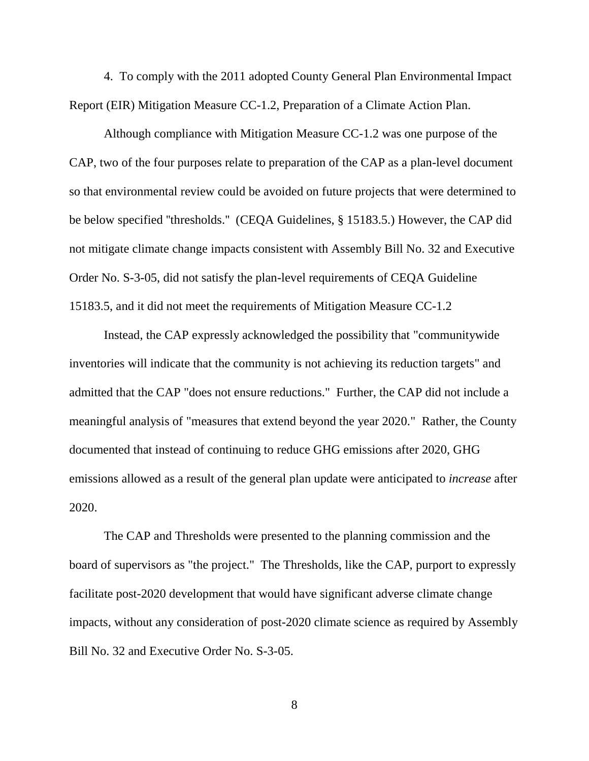4. To comply with the 2011 adopted County General Plan Environmental Impact Report (EIR) Mitigation Measure CC-1.2, Preparation of a Climate Action Plan.

Although compliance with Mitigation Measure CC-1.2 was one purpose of the CAP, two of the four purposes relate to preparation of the CAP as a plan-level document so that environmental review could be avoided on future projects that were determined to be below specified ''thresholds.'' (CEQA Guidelines, § 15183.5.) However, the CAP did not mitigate climate change impacts consistent with Assembly Bill No. 32 and Executive Order No. S-3-05, did not satisfy the plan-level requirements of CEQA Guideline 15183.5, and it did not meet the requirements of Mitigation Measure CC-1.2

Instead, the CAP expressly acknowledged the possibility that "communitywide inventories will indicate that the community is not achieving its reduction targets" and admitted that the CAP "does not ensure reductions." Further, the CAP did not include a meaningful analysis of "measures that extend beyond the year 2020." Rather, the County documented that instead of continuing to reduce GHG emissions after 2020, GHG emissions allowed as a result of the general plan update were anticipated to *increase* after 2020.

The CAP and Thresholds were presented to the planning commission and the board of supervisors as "the project." The Thresholds, like the CAP, purport to expressly facilitate post-2020 development that would have significant adverse climate change impacts, without any consideration of post-2020 climate science as required by Assembly Bill No. 32 and Executive Order No. S-3-05.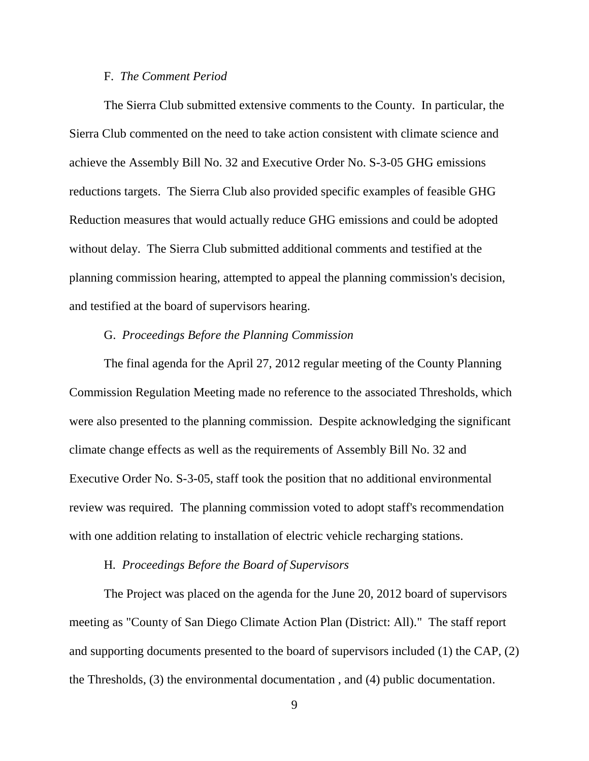## F. *The Comment Period*

The Sierra Club submitted extensive comments to the County. In particular, the Sierra Club commented on the need to take action consistent with climate science and achieve the Assembly Bill No. 32 and Executive Order No. S-3-05 GHG emissions reductions targets. The Sierra Club also provided specific examples of feasible GHG Reduction measures that would actually reduce GHG emissions and could be adopted without delay. The Sierra Club submitted additional comments and testified at the planning commission hearing, attempted to appeal the planning commission's decision, and testified at the board of supervisors hearing.

## G. *Proceedings Before the Planning Commission*

The final agenda for the April 27, 2012 regular meeting of the County Planning Commission Regulation Meeting made no reference to the associated Thresholds, which were also presented to the planning commission. Despite acknowledging the significant climate change effects as well as the requirements of Assembly Bill No. 32 and Executive Order No. S-3-05, staff took the position that no additional environmental review was required. The planning commission voted to adopt staff's recommendation with one addition relating to installation of electric vehicle recharging stations.

### H*. Proceedings Before the Board of Supervisors*

The Project was placed on the agenda for the June 20, 2012 board of supervisors meeting as "County of San Diego Climate Action Plan (District: All)." The staff report and supporting documents presented to the board of supervisors included (1) the CAP, (2) the Thresholds, (3) the environmental documentation , and (4) public documentation.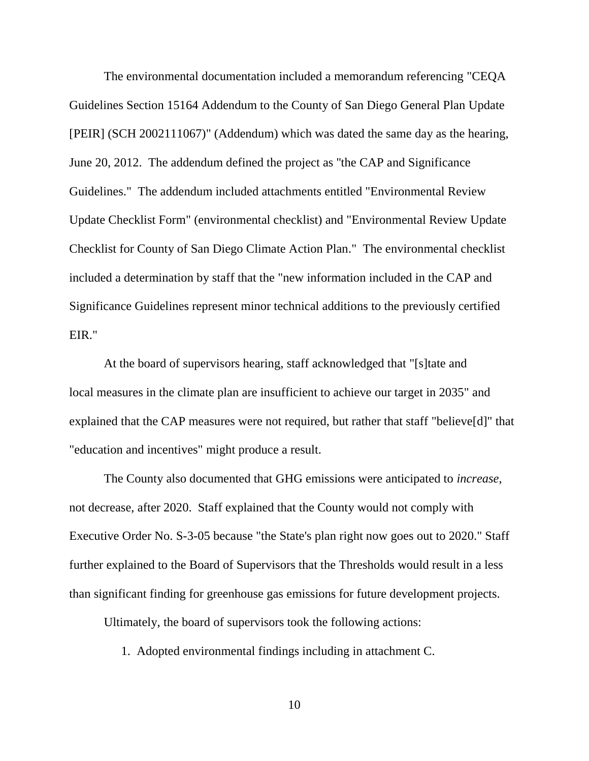The environmental documentation included a memorandum referencing "CEQA Guidelines Section 15164 Addendum to the County of San Diego General Plan Update [PEIR] (SCH 2002111067)" (Addendum) which was dated the same day as the hearing, June 20, 2012. The addendum defined the project as ''the CAP and Significance Guidelines." The addendum included attachments entitled "Environmental Review Update Checklist Form" (environmental checklist) and "Environmental Review Update Checklist for County of San Diego Climate Action Plan." The environmental checklist included a determination by staff that the "new information included in the CAP and Significance Guidelines represent minor technical additions to the previously certified EIR."

At the board of supervisors hearing, staff acknowledged that "[s]tate and local measures in the climate plan are insufficient to achieve our target in 2035" and explained that the CAP measures were not required, but rather that staff "believe[d]" that "education and incentives" might produce a result.

The County also documented that GHG emissions were anticipated to *increase*, not decrease, after 2020. Staff explained that the County would not comply with Executive Order No. S-3-05 because "the State's plan right now goes out to 2020." Staff further explained to the Board of Supervisors that the Thresholds would result in a less than significant finding for greenhouse gas emissions for future development projects.

Ultimately, the board of supervisors took the following actions:

1. Adopted environmental findings including in attachment C.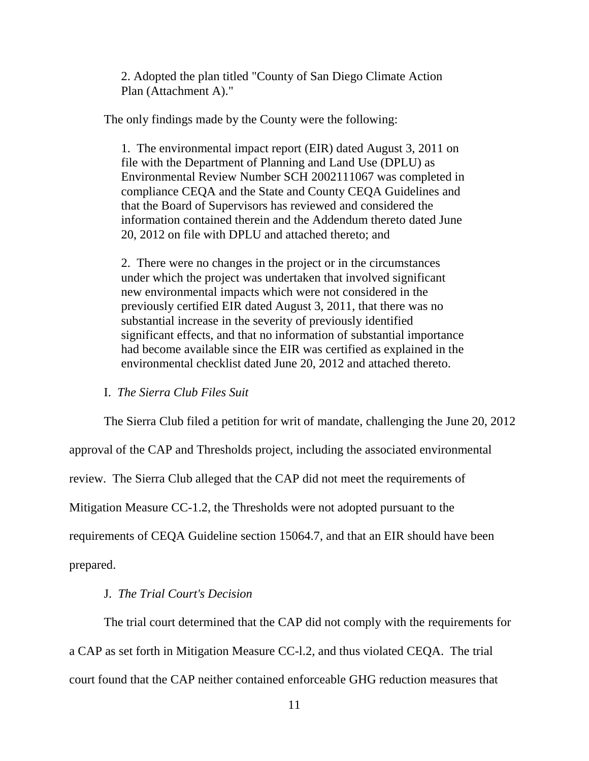2. Adopted the plan titled "County of San Diego Climate Action Plan (Attachment A)."

The only findings made by the County were the following:

1. The environmental impact report (EIR) dated August 3, 2011 on file with the Department of Planning and Land Use (DPLU) as Environmental Review Number SCH 2002111067 was completed in compliance CEQA and the State and County CEQA Guidelines and that the Board of Supervisors has reviewed and considered the information contained therein and the Addendum thereto dated June 20, 2012 on file with DPLU and attached thereto; and

2. There were no changes in the project or in the circumstances under which the project was undertaken that involved significant new environmental impacts which were not considered in the previously certified EIR dated August 3, 2011, that there was no substantial increase in the severity of previously identified significant effects, and that no information of substantial importance had become available since the EIR was certified as explained in the environmental checklist dated June 20, 2012 and attached thereto.

I. *The Sierra Club Files Suit*

The Sierra Club filed a petition for writ of mandate, challenging the June 20, 2012 approval of the CAP and Thresholds project, including the associated environmental review. The Sierra Club alleged that the CAP did not meet the requirements of Mitigation Measure CC-1.2, the Thresholds were not adopted pursuant to the requirements of CEQA Guideline section 15064.7, and that an EIR should have been prepared.

# J. *The Trial Court's Decision*

The trial court determined that the CAP did not comply with the requirements for a CAP as set forth in Mitigation Measure CC-l.2, and thus violated CEQA. The trial court found that the CAP neither contained enforceable GHG reduction measures that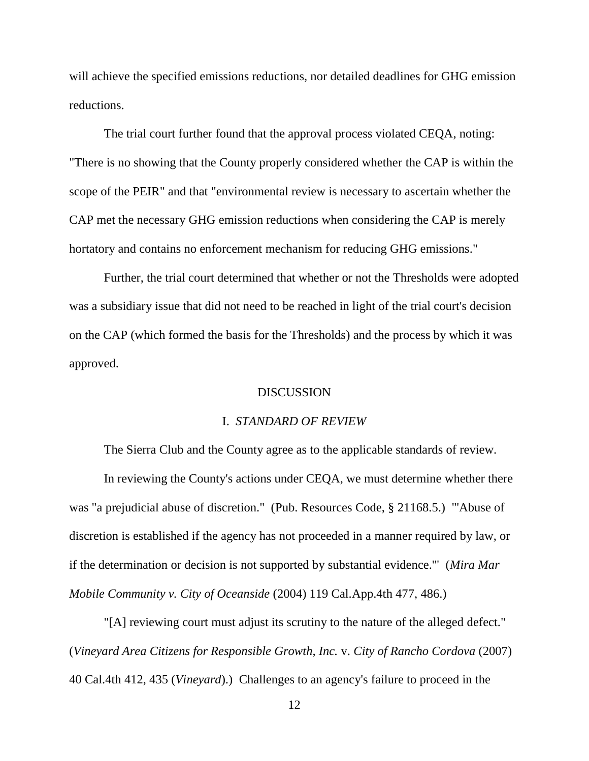will achieve the specified emissions reductions, nor detailed deadlines for GHG emission reductions.

The trial court further found that the approval process violated CEQA, noting: "There is no showing that the County properly considered whether the CAP is within the scope of the PEIR" and that "environmental review is necessary to ascertain whether the CAP met the necessary GHG emission reductions when considering the CAP is merely hortatory and contains no enforcement mechanism for reducing GHG emissions."

Further, the trial court determined that whether or not the Thresholds were adopted was a subsidiary issue that did not need to be reached in light of the trial court's decision on the CAP (which formed the basis for the Thresholds) and the process by which it was approved.

## **DISCUSSION**

### I. *STANDARD OF REVIEW*

The Sierra Club and the County agree as to the applicable standards of review. In reviewing the County's actions under CEQA, we must determine whether there was "a prejudicial abuse of discretion." (Pub. Resources Code, § 21168.5.) "'Abuse of discretion is established if the agency has not proceeded in a manner required by law, or if the determination or decision is not supported by substantial evidence.'" (*Mira Mar Mobile Community v. City of Oceanside* (2004) 119 Cal.App.4th 477, 486.)

"[A] reviewing court must adjust its scrutiny to the nature of the alleged defect." (*Vineyard Area Citizens for Responsible Growth, Inc.* v. *City of Rancho Cordova* (2007) 40 Cal.4th 412, 435 (*Vineyard*).) Challenges to an agency's failure to proceed in the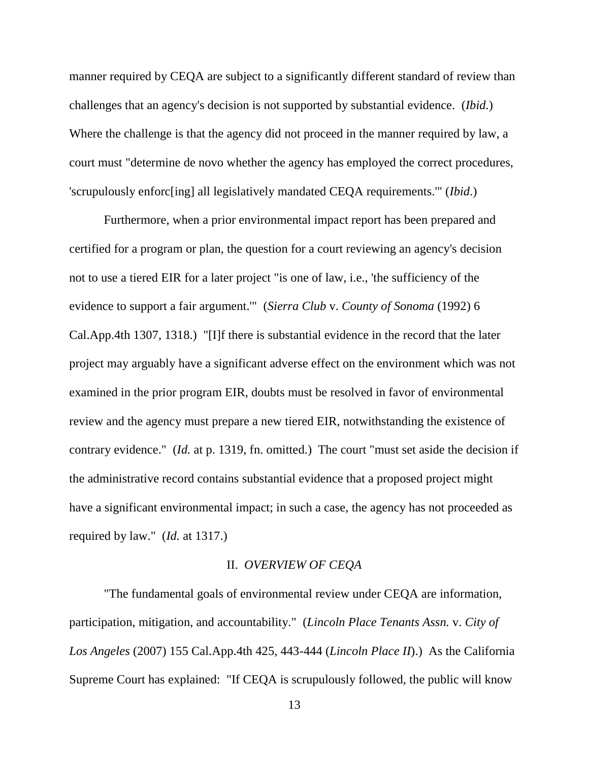manner required by CEQA are subject to a significantly different standard of review than challenges that an agency's decision is not supported by substantial evidence. (*Ibid.*) Where the challenge is that the agency did not proceed in the manner required by law, a court must "determine de novo whether the agency has employed the correct procedures, 'scrupulously enforc[ing] all legislatively mandated CEQA requirements.'" (*Ibid*.)

Furthermore, when a prior environmental impact report has been prepared and certified for a program or plan, the question for a court reviewing an agency's decision not to use a tiered EIR for a later project "is one of law, i.e., 'the sufficiency of the evidence to support a fair argument.'" (*Sierra Club* v. *County of Sonoma* (1992) 6 Cal.App.4th 1307, 1318.) "[I]f there is substantial evidence in the record that the later project may arguably have a significant adverse effect on the environment which was not examined in the prior program EIR, doubts must be resolved in favor of environmental review and the agency must prepare a new tiered EIR, notwithstanding the existence of contrary evidence." (*Id.* at p. 1319, fn. omitted.) The court "must set aside the decision if the administrative record contains substantial evidence that a proposed project might have a significant environmental impact; in such a case, the agency has not proceeded as required by law." (*Id.* at 1317.)

### II. *OVERVIEW OF CEQA*

"The fundamental goals of environmental review under CEQA are information, participation, mitigation, and accountability." (*Lincoln Place Tenants Assn.* v. *City of Los Angeles* (2007) 155 Cal.App.4th 425, 443-444 (*Lincoln Place II*).) As the California Supreme Court has explained: "If CEQA is scrupulously followed, the public will know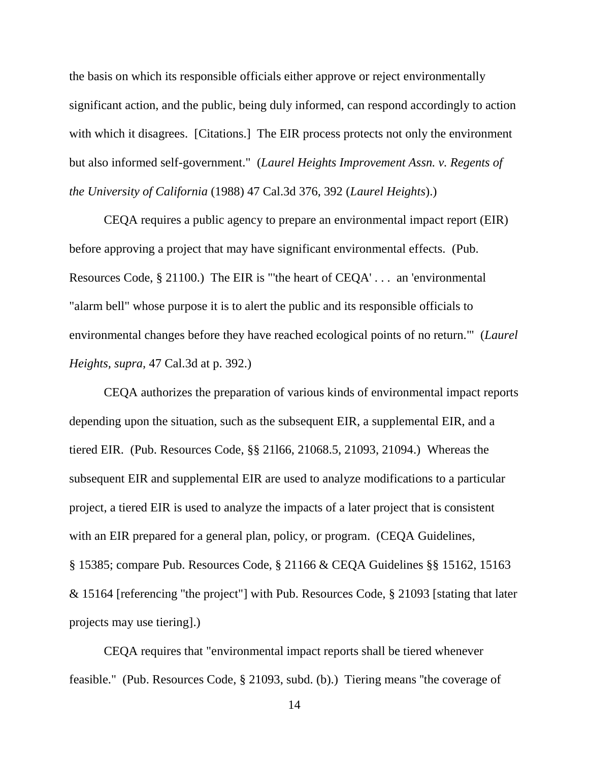the basis on which its responsible officials either approve or reject environmentally significant action, and the public, being duly informed, can respond accordingly to action with which it disagrees. [Citations.] The EIR process protects not only the environment but also informed self-government." (*Laurel Heights Improvement Assn. v. Regents of the University of California* (1988) 47 Cal.3d 376, 392 (*Laurel Heights*).)

CEQA requires a public agency to prepare an environmental impact report (EIR) before approving a project that may have significant environmental effects. (Pub. Resources Code, § 21100.) The EIR is "'the heart of CEQA' . . . an 'environmental "alarm bell" whose purpose it is to alert the public and its responsible officials to environmental changes before they have reached ecological points of no return.'" (*Laurel Heights, supra,* 47 Cal.3d at p. 392.)

CEQA authorizes the preparation of various kinds of environmental impact reports depending upon the situation, such as the subsequent EIR, a supplemental EIR, and a tiered EIR. (Pub. Resources Code, §§ 21l66, 21068.5, 21093, 21094.) Whereas the subsequent EIR and supplemental EIR are used to analyze modifications to a particular project, a tiered EIR is used to analyze the impacts of a later project that is consistent with an EIR prepared for a general plan, policy, or program. (CEQA Guidelines, § 15385; compare Pub. Resources Code, § 21166 & CEQA Guidelines §§ 15162, 15163 & 15164 [referencing ''the project"] with Pub. Resources Code, § 21093 [stating that later projects may use tiering].)

CEQA requires that "environmental impact reports shall be tiered whenever feasible." (Pub. Resources Code, § 21093, subd. (b).) Tiering means ''the coverage of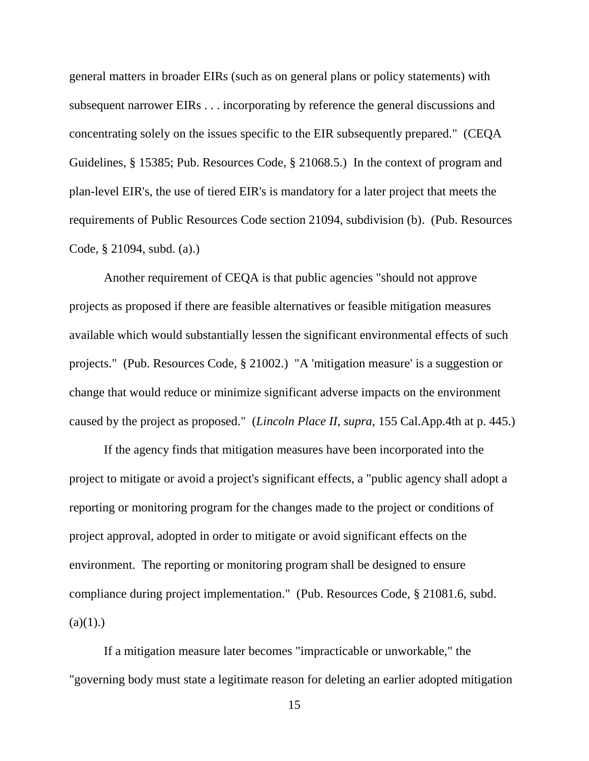general matters in broader EIRs (such as on general plans or policy statements) with subsequent narrower EIRs . . . incorporating by reference the general discussions and concentrating solely on the issues specific to the EIR subsequently prepared." (CEQA Guidelines, § 15385; Pub. Resources Code, § 21068.5.) In the context of program and plan-level EIR's, the use of tiered EIR's is mandatory for a later project that meets the requirements of Public Resources Code section 21094, subdivision (b). (Pub. Resources Code, § 21094, subd. (a).)

Another requirement of CEQA is that public agencies "should not approve projects as proposed if there are feasible alternatives or feasible mitigation measures available which would substantially lessen the significant environmental effects of such projects." (Pub. Resources Code, § 21002.) "A 'mitigation measure' is a suggestion or change that would reduce or minimize significant adverse impacts on the environment caused by the project as proposed." (*Lincoln Place II, supra,* 155 Cal.App.4th at p. 445.)

If the agency finds that mitigation measures have been incorporated into the project to mitigate or avoid a project's significant effects, a "public agency shall adopt a reporting or monitoring program for the changes made to the project or conditions of project approval, adopted in order to mitigate or avoid significant effects on the environment. The reporting or monitoring program shall be designed to ensure compliance during project implementation." (Pub. Resources Code, § 21081.6, subd.  $(a)(1)$ .)

If a mitigation measure later becomes "impracticable or unworkable," the "governing body must state a legitimate reason for deleting an earlier adopted mitigation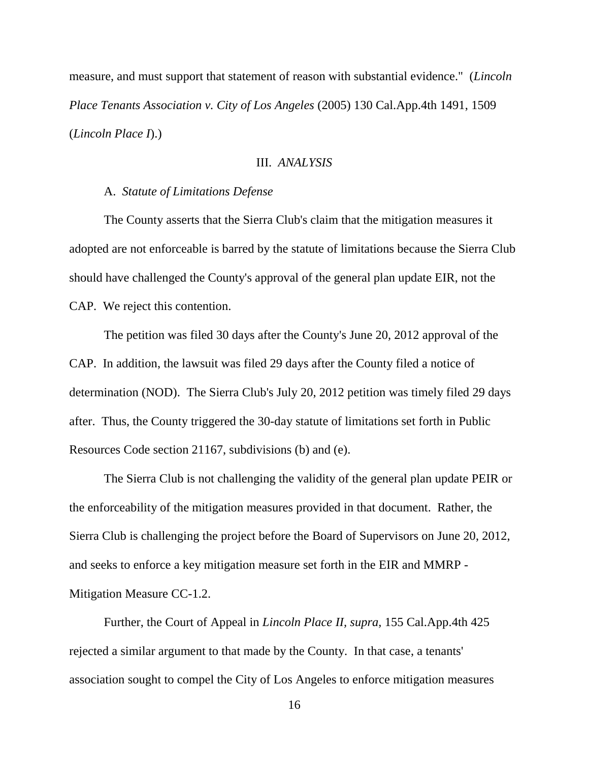measure, and must support that statement of reason with substantial evidence." (*Lincoln Place Tenants Association v. City of Los Angeles* (2005) 130 Cal.App.4th 1491, 1509 (*Lincoln Place I*).)

# III. *ANALYSIS*

## A. *Statute of Limitations Defense*

The County asserts that the Sierra Club's claim that the mitigation measures it adopted are not enforceable is barred by the statute of limitations because the Sierra Club should have challenged the County's approval of the general plan update EIR, not the CAP. We reject this contention.

The petition was filed 30 days after the County's June 20, 2012 approval of the CAP. In addition, the lawsuit was filed 29 days after the County filed a notice of determination (NOD). The Sierra Club's July 20, 2012 petition was timely filed 29 days after. Thus, the County triggered the 30-day statute of limitations set forth in Public Resources Code section 21167, subdivisions (b) and (e).

The Sierra Club is not challenging the validity of the general plan update PEIR or the enforceability of the mitigation measures provided in that document. Rather, the Sierra Club is challenging the project before the Board of Supervisors on June 20, 2012, and seeks to enforce a key mitigation measure set forth in the EIR and MMRP - Mitigation Measure CC-1.2.

Further, the Court of Appeal in *Lincoln Place II, supra,* 155 Cal.App.4th 425 rejected a similar argument to that made by the County. In that case, a tenants' association sought to compel the City of Los Angeles to enforce mitigation measures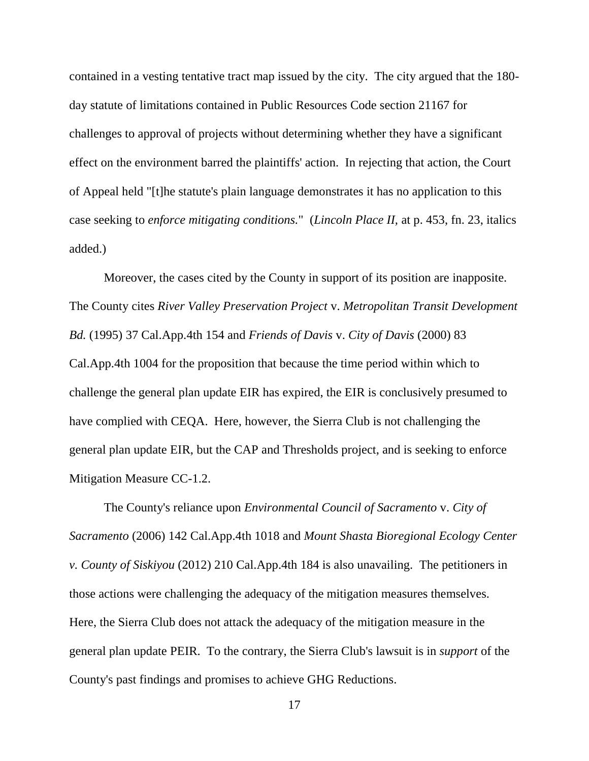contained in a vesting tentative tract map issued by the city. The city argued that the 180 day statute of limitations contained in Public Resources Code section 21167 for challenges to approval of projects without determining whether they have a significant effect on the environment barred the plaintiffs' action. In rejecting that action, the Court of Appeal held "[t]he statute's plain language demonstrates it has no application to this case seeking to *enforce mitigating conditions.*" (*Lincoln Place II,* at p. 453, fn. 23, italics added.)

Moreover, the cases cited by the County in support of its position are inapposite. The County cites *River Valley Preservation Project* v. *Metropolitan Transit Development Bd.* (1995) 37 Cal.App.4th 154 and *Friends of Davis* v. *City of Davis* (2000) 83 Cal.App.4th 1004 for the proposition that because the time period within which to challenge the general plan update EIR has expired, the EIR is conclusively presumed to have complied with CEQA. Here, however, the Sierra Club is not challenging the general plan update EIR, but the CAP and Thresholds project, and is seeking to enforce Mitigation Measure CC-1.2.

The County's reliance upon *Environmental Council of Sacramento* v. *City of Sacramento* (2006) 142 Cal.App.4th 1018 and *Mount Shasta Bioregional Ecology Center v. County of Siskiyou* (2012) 210 Cal.App.4th 184 is also unavailing. The petitioners in those actions were challenging the adequacy of the mitigation measures themselves. Here, the Sierra Club does not attack the adequacy of the mitigation measure in the general plan update PEIR. To the contrary, the Sierra Club's lawsuit is in *support* of the County's past findings and promises to achieve GHG Reductions.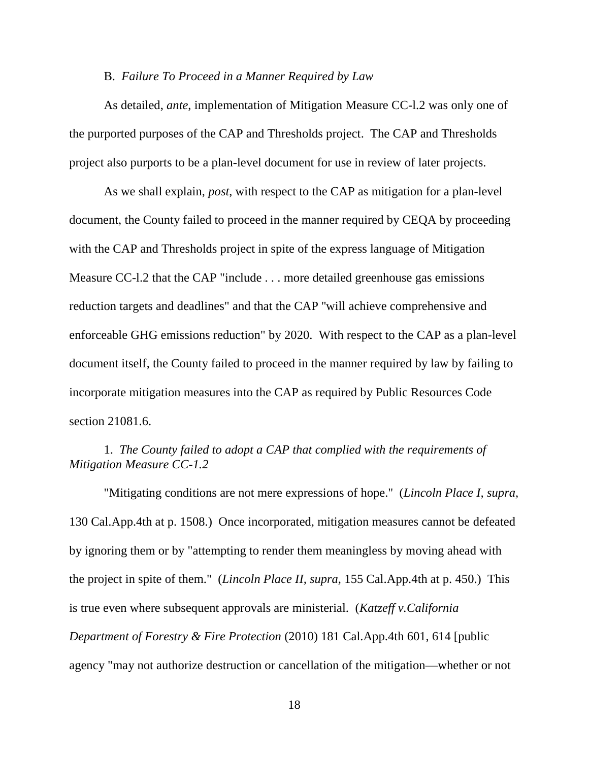### B. *Failure To Proceed in a Manner Required by Law*

As detailed, *ante*, implementation of Mitigation Measure CC-l.2 was only one of the purported purposes of the CAP and Thresholds project. The CAP and Thresholds project also purports to be a plan-level document for use in review of later projects.

As we shall explain, *post*, with respect to the CAP as mitigation for a plan-level document, the County failed to proceed in the manner required by CEQA by proceeding with the CAP and Thresholds project in spite of the express language of Mitigation Measure CC-l.2 that the CAP "include . . . more detailed greenhouse gas emissions reduction targets and deadlines" and that the CAP ''will achieve comprehensive and enforceable GHG emissions reduction" by 2020. With respect to the CAP as a plan-level document itself, the County failed to proceed in the manner required by law by failing to incorporate mitigation measures into the CAP as required by Public Resources Code section 21081.6.

# 1. *The County failed to adopt a CAP that complied with the requirements of Mitigation Measure CC-1.2*

"Mitigating conditions are not mere expressions of hope." (*Lincoln Place I, supra,* 130 Cal.App.4th at p. 1508.) Once incorporated, mitigation measures cannot be defeated by ignoring them or by "attempting to render them meaningless by moving ahead with the project in spite of them." (*Lincoln Place II, supra,* 155 Cal.App.4th at p. 450.) This is true even where subsequent approvals are ministerial. (*Katzeff v.California Department of Forestry & Fire Protection* (2010) 181 Cal.App.4th 601, 614 [public agency "may not authorize destruction or cancellation of the mitigation—whether or not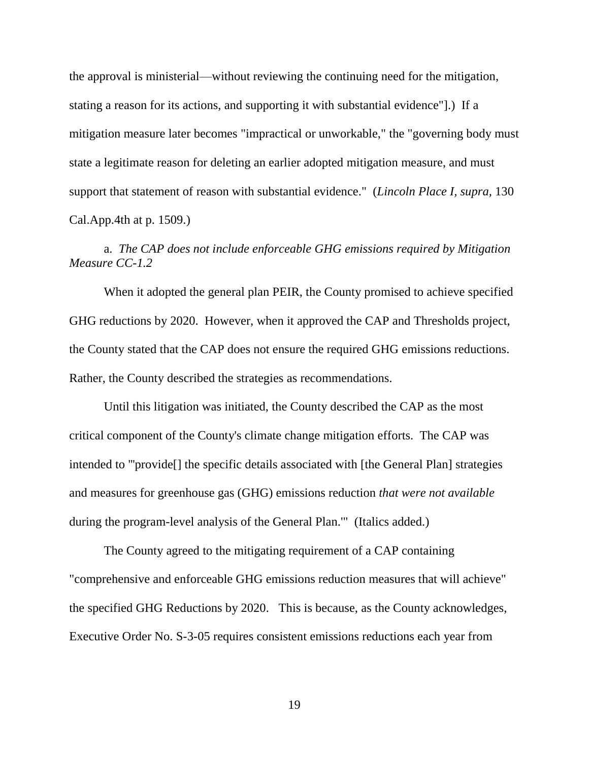the approval is ministerial—without reviewing the continuing need for the mitigation, stating a reason for its actions, and supporting it with substantial evidence"].) If a mitigation measure later becomes "impractical or unworkable," the "governing body must state a legitimate reason for deleting an earlier adopted mitigation measure, and must support that statement of reason with substantial evidence." (*Lincoln Place I, supra,* 130 Cal.App.4th at p. 1509.)

# a. *The CAP does not include enforceable GHG emissions required by Mitigation Measure CC-1.2*

When it adopted the general plan PEIR, the County promised to achieve specified GHG reductions by 2020. However, when it approved the CAP and Thresholds project, the County stated that the CAP does not ensure the required GHG emissions reductions. Rather, the County described the strategies as recommendations.

Until this litigation was initiated, the County described the CAP as the most critical component of the County's climate change mitigation efforts. The CAP was intended to '''provide[] the specific details associated with [the General Plan] strategies and measures for greenhouse gas (GHG) emissions reduction *that were not available* during the program-level analysis of the General Plan.'" (Italics added.)

The County agreed to the mitigating requirement of a CAP containing "comprehensive and enforceable GHG emissions reduction measures that will achieve" the specified GHG Reductions by 2020. This is because, as the County acknowledges, Executive Order No. S-3-05 requires consistent emissions reductions each year from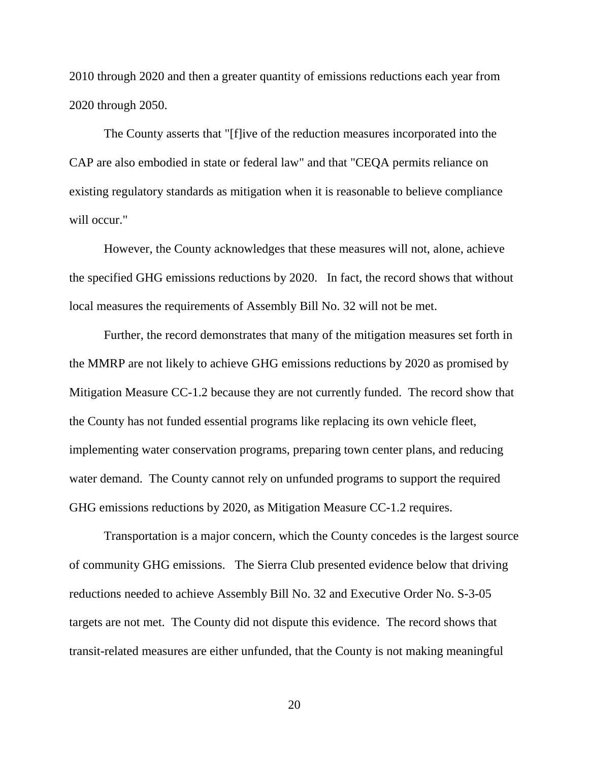2010 through 2020 and then a greater quantity of emissions reductions each year from 2020 through 2050.

The County asserts that "[f]ive of the reduction measures incorporated into the CAP are also embodied in state or federal law" and that "CEQA permits reliance on existing regulatory standards as mitigation when it is reasonable to believe compliance will occur."

However, the County acknowledges that these measures will not, alone, achieve the specified GHG emissions reductions by 2020. In fact, the record shows that without local measures the requirements of Assembly Bill No. 32 will not be met.

Further, the record demonstrates that many of the mitigation measures set forth in the MMRP are not likely to achieve GHG emissions reductions by 2020 as promised by Mitigation Measure CC-1.2 because they are not currently funded. The record show that the County has not funded essential programs like replacing its own vehicle fleet, implementing water conservation programs, preparing town center plans, and reducing water demand. The County cannot rely on unfunded programs to support the required GHG emissions reductions by 2020, as Mitigation Measure CC-1.2 requires.

Transportation is a major concern, which the County concedes is the largest source of community GHG emissions. The Sierra Club presented evidence below that driving reductions needed to achieve Assembly Bill No. 32 and Executive Order No. S-3-05 targets are not met. The County did not dispute this evidence. The record shows that transit-related measures are either unfunded, that the County is not making meaningful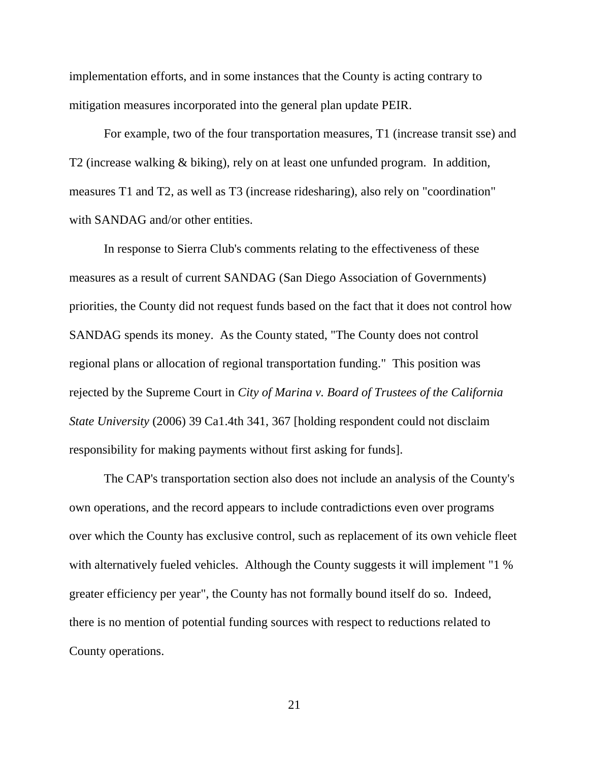implementation efforts, and in some instances that the County is acting contrary to mitigation measures incorporated into the general plan update PEIR.

For example, two of the four transportation measures, T1 (increase transit sse) and T2 (increase walking & biking), rely on at least one unfunded program. In addition, measures T1 and T2, as well as T3 (increase ridesharing), also rely on "coordination" with SANDAG and/or other entities.

In response to Sierra Club's comments relating to the effectiveness of these measures as a result of current SANDAG (San Diego Association of Governments) priorities, the County did not request funds based on the fact that it does not control how SANDAG spends its money. As the County stated, "The County does not control regional plans or allocation of regional transportation funding." This position was rejected by the Supreme Court in *City of Marina v. Board of Trustees of the California State University* (2006) 39 Ca1.4th 341, 367 [holding respondent could not disclaim responsibility for making payments without first asking for funds].

The CAP's transportation section also does not include an analysis of the County's own operations, and the record appears to include contradictions even over programs over which the County has exclusive control, such as replacement of its own vehicle fleet with alternatively fueled vehicles. Although the County suggests it will implement "1 % greater efficiency per year", the County has not formally bound itself do so. Indeed, there is no mention of potential funding sources with respect to reductions related to County operations.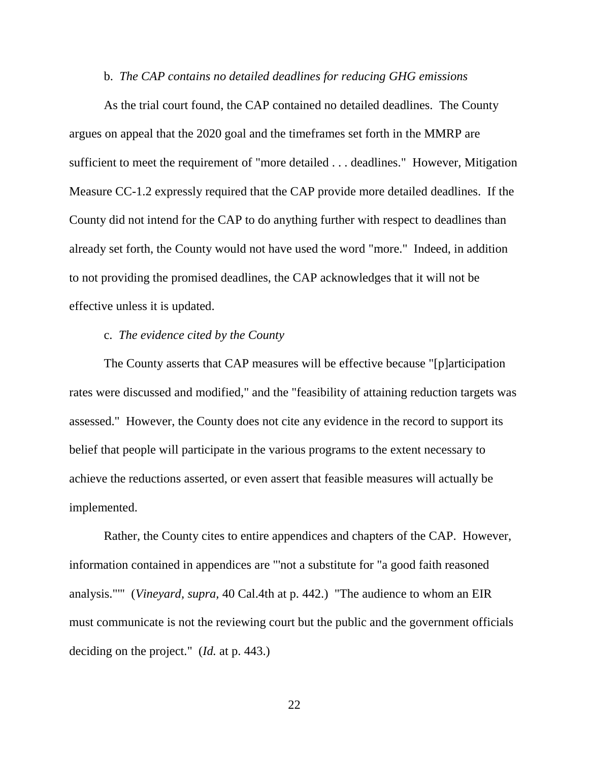#### b. *The CAP contains no detailed deadlines for reducing GHG emissions*

As the trial court found, the CAP contained no detailed deadlines. The County argues on appeal that the 2020 goal and the timeframes set forth in the MMRP are sufficient to meet the requirement of "more detailed . . . deadlines." However, Mitigation Measure CC-1.2 expressly required that the CAP provide more detailed deadlines. If the County did not intend for the CAP to do anything further with respect to deadlines than already set forth, the County would not have used the word "more." Indeed, in addition to not providing the promised deadlines, the CAP acknowledges that it will not be effective unless it is updated.

# c. *The evidence cited by the County*

The County asserts that CAP measures will be effective because "[p]articipation rates were discussed and modified," and the "feasibility of attaining reduction targets was assessed." However, the County does not cite any evidence in the record to support its belief that people will participate in the various programs to the extent necessary to achieve the reductions asserted, or even assert that feasible measures will actually be implemented.

Rather, the County cites to entire appendices and chapters of the CAP. However, information contained in appendices are "'not a substitute for "a good faith reasoned analysis."'" (*Vineyard, supra,* 40 Cal.4th at p. 442.) "The audience to whom an EIR must communicate is not the reviewing court but the public and the government officials deciding on the project." (*Id.* at p. 443.)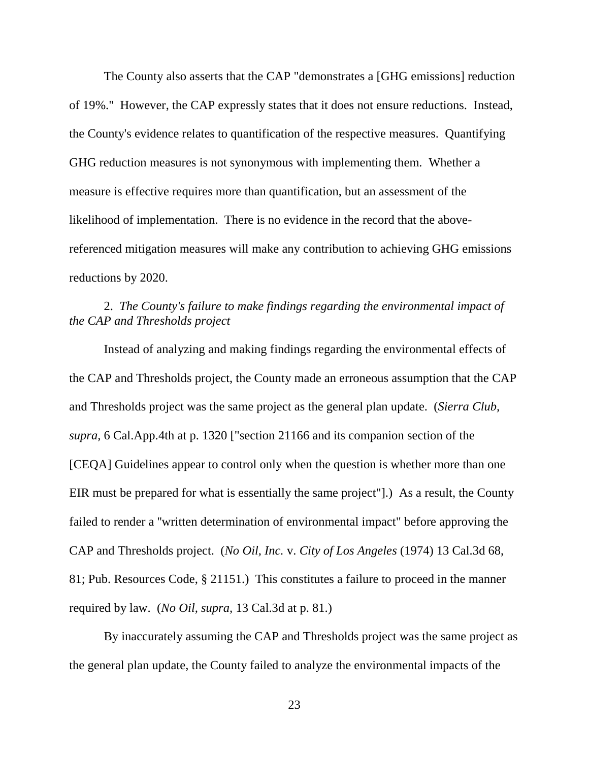The County also asserts that the CAP "demonstrates a [GHG emissions] reduction of 19%." However, the CAP expressly states that it does not ensure reductions. Instead, the County's evidence relates to quantification of the respective measures. Quantifying GHG reduction measures is not synonymous with implementing them. Whether a measure is effective requires more than quantification, but an assessment of the likelihood of implementation. There is no evidence in the record that the abovereferenced mitigation measures will make any contribution to achieving GHG emissions reductions by 2020.

# 2. *The County's failure to make findings regarding the environmental impact of the CAP and Thresholds project*

Instead of analyzing and making findings regarding the environmental effects of the CAP and Thresholds project, the County made an erroneous assumption that the CAP and Thresholds project was the same project as the general plan update. (*Sierra Club, supra,* 6 Cal.App.4th at p. 1320 ["section 21166 and its companion section of the [CEQA] Guidelines appear to control only when the question is whether more than one EIR must be prepared for what is essentially the same project"].) As a result, the County failed to render a ''written determination of environmental impact" before approving the CAP and Thresholds project. (*No Oil, Inc.* v. *City of Los Angeles* (1974) 13 Cal.3d 68, 81; Pub. Resources Code, § 21151.) This constitutes a failure to proceed in the manner required by law. (*No Oil, supra,* 13 Cal.3d at p. 81.)

By inaccurately assuming the CAP and Thresholds project was the same project as the general plan update, the County failed to analyze the environmental impacts of the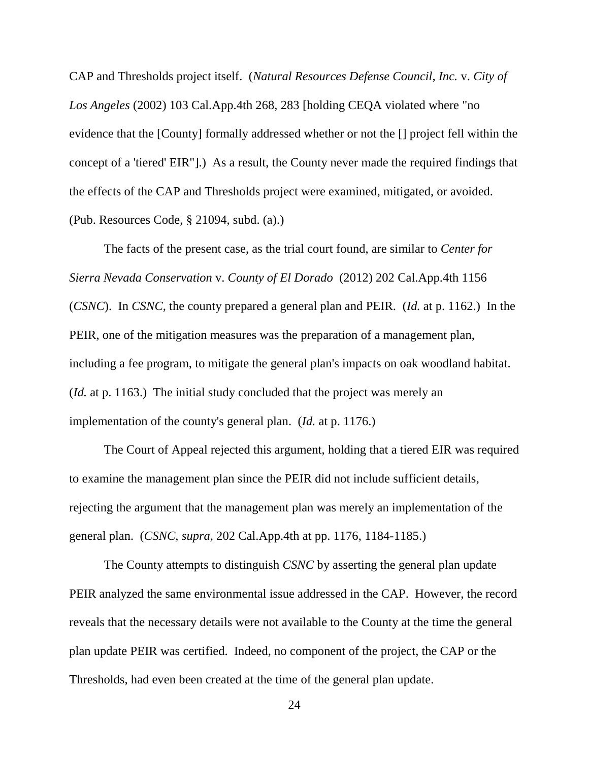CAP and Thresholds project itself. (*Natural Resources Defense Council, Inc.* v. *City of Los Angeles* (2002) 103 Cal.App.4th 268, 283 [holding CEQA violated where "no evidence that the [County] formally addressed whether or not the [] project fell within the concept of a 'tiered' EIR"].) As a result, the County never made the required findings that the effects of the CAP and Thresholds project were examined, mitigated, or avoided. (Pub. Resources Code, § 21094, subd. (a).)

The facts of the present case, as the trial court found, are similar to *Center for Sierra Nevada Conservation* v. *County of El Dorado* (2012) 202 Cal.App.4th 1156 (*CSNC*). In *CSNC,* the county prepared a general plan and PEIR. (*Id.* at p. 1162.) In the PEIR, one of the mitigation measures was the preparation of a management plan, including a fee program, to mitigate the general plan's impacts on oak woodland habitat. (*Id.* at p. 1163.) The initial study concluded that the project was merely an implementation of the county's general plan. (*Id.* at p. 1176.)

The Court of Appeal rejected this argument, holding that a tiered EIR was required to examine the management plan since the PEIR did not include sufficient details, rejecting the argument that the management plan was merely an implementation of the general plan. (*CSNC, supra,* 202 Cal.App.4th at pp. 1176, 1184-1185.)

The County attempts to distinguish *CSNC* by asserting the general plan update PEIR analyzed the same environmental issue addressed in the CAP. However, the record reveals that the necessary details were not available to the County at the time the general plan update PEIR was certified. Indeed, no component of the project, the CAP or the Thresholds, had even been created at the time of the general plan update.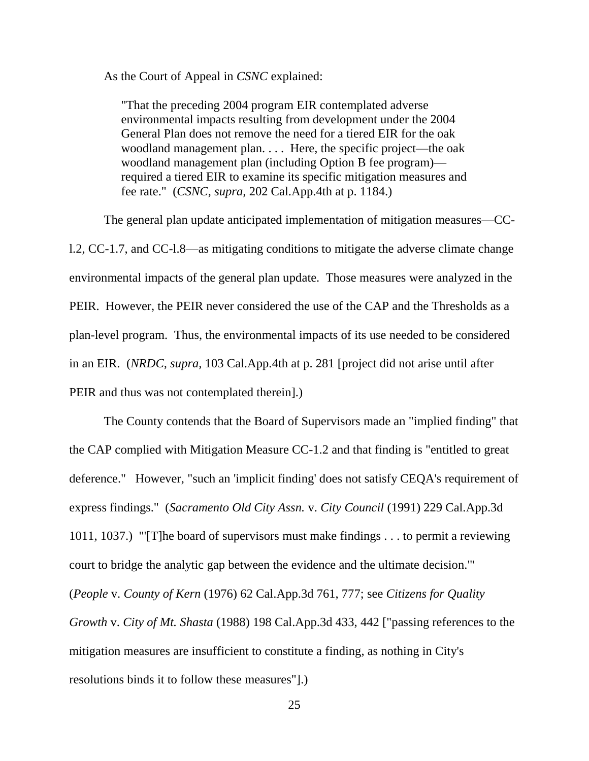As the Court of Appeal in *CSNC* explained:

"That the preceding 2004 program EIR contemplated adverse environmental impacts resulting from development under the 2004 General Plan does not remove the need for a tiered EIR for the oak woodland management plan. . . . Here, the specific project—the oak woodland management plan (including Option B fee program) required a tiered EIR to examine its specific mitigation measures and fee rate." (*CSNC, supra,* 202 Cal.App.4th at p. 1184.)

The general plan update anticipated implementation of mitigation measures—CCl.2, CC-1.7, and CC-l.8—as mitigating conditions to mitigate the adverse climate change environmental impacts of the general plan update. Those measures were analyzed in the PEIR. However, the PEIR never considered the use of the CAP and the Thresholds as a plan-level program. Thus, the environmental impacts of its use needed to be considered in an EIR. (*NRDC, supra,* 103 Cal.App.4th at p. 281 [project did not arise until after PEIR and thus was not contemplated therein].)

The County contends that the Board of Supervisors made an "implied finding" that the CAP complied with Mitigation Measure CC-1.2 and that finding is "entitled to great deference." However, "such an 'implicit finding' does not satisfy CEQA's requirement of express findings." (*Sacramento Old City Assn.* v. *City Council* (1991) 229 Cal.App.3d 1011, 1037.) "'[T]he board of supervisors must make findings . . . to permit a reviewing court to bridge the analytic gap between the evidence and the ultimate decision.'" (*People* v. *County of Kern* (1976) 62 Cal.App.3d 761, 777; see *Citizens for Quality Growth* v. *City of Mt. Shasta* (1988) 198 Cal.App.3d 433, 442 ["passing references to the mitigation measures are insufficient to constitute a finding, as nothing in City's resolutions binds it to follow these measures"].)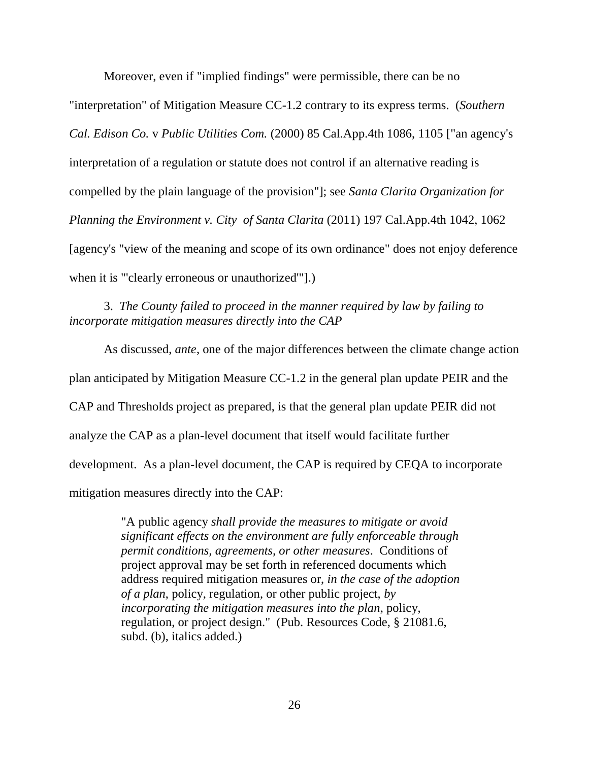Moreover, even if "implied findings" were permissible, there can be no "interpretation" of Mitigation Measure CC-1.2 contrary to its express terms. (*Southern Cal. Edison Co.* v *Public Utilities Com.* (2000) 85 Cal.App.4th 1086, 1105 ["an agency's interpretation of a regulation or statute does not control if an alternative reading is compelled by the plain language of the provision"]; see *Santa Clarita Organization for Planning the Environment v. City of Santa Clarita* (2011) 197 Cal.App.4th 1042, 1062 [agency's "view of the meaning and scope of its own ordinance" does not enjoy deference when it is "'clearly erroneous or unauthorized'"].)

3. *The County failed to proceed in the manner required by law by failing to incorporate mitigation measures directly into the CAP*

As discussed, *ante*, one of the major differences between the climate change action plan anticipated by Mitigation Measure CC-1.2 in the general plan update PEIR and the CAP and Thresholds project as prepared, is that the general plan update PEIR did not analyze the CAP as a plan-level document that itself would facilitate further development. As a plan-level document, the CAP is required by CEQA to incorporate mitigation measures directly into the CAP:

> "A public agency *shall provide the measures to mitigate or avoid significant effects on the environment are fully enforceable through permit conditions, agreements, or other measures*. Conditions of project approval may be set forth in referenced documents which address required mitigation measures or, *in the case of the adoption of a plan*, policy, regulation, or other public project, *by incorporating the mitigation measures into the plan*, policy, regulation, or project design." (Pub. Resources Code, § 21081.6, subd. (b), italics added.)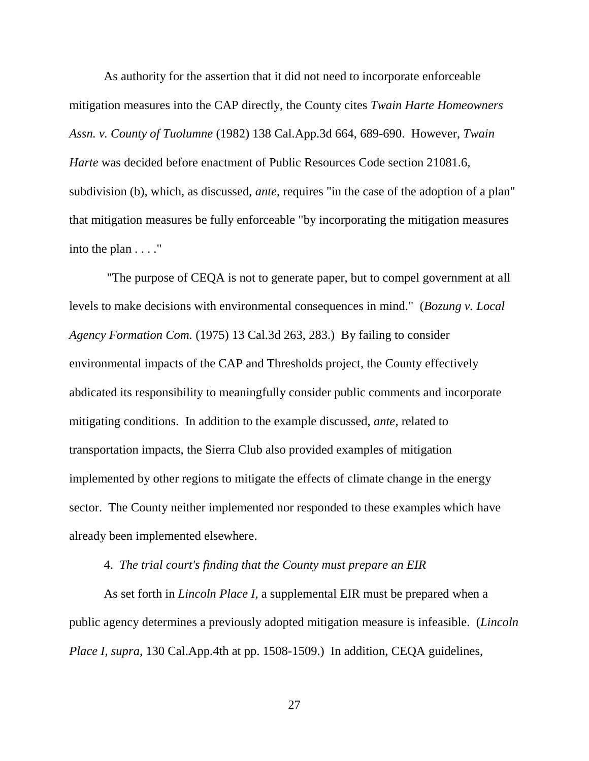As authority for the assertion that it did not need to incorporate enforceable mitigation measures into the CAP directly, the County cites *Twain Harte Homeowners Assn. v. County of Tuolumne* (1982) 138 Cal.App.3d 664, 689-690. However, *Twain Harte* was decided before enactment of Public Resources Code section 21081.6, subdivision (b), which, as discussed, *ante*, requires "in the case of the adoption of a plan" that mitigation measures be fully enforceable "by incorporating the mitigation measures into the plan . . . ."

"The purpose of CEQA is not to generate paper, but to compel government at all levels to make decisions with environmental consequences in mind." (*Bozung v. Local Agency Formation Com.* (1975) 13 Cal.3d 263, 283.) By failing to consider environmental impacts of the CAP and Thresholds project, the County effectively abdicated its responsibility to meaningfully consider public comments and incorporate mitigating conditions. In addition to the example discussed, *ante*, related to transportation impacts, the Sierra Club also provided examples of mitigation implemented by other regions to mitigate the effects of climate change in the energy sector. The County neither implemented nor responded to these examples which have already been implemented elsewhere.

### 4. *The trial court's finding that the County must prepare an EIR*

As set forth in *Lincoln Place I*, a supplemental EIR must be prepared when a public agency determines a previously adopted mitigation measure is infeasible. (*Lincoln Place I, supra,* 130 Cal.App.4th at pp. 1508-1509.) In addition, CEQA guidelines,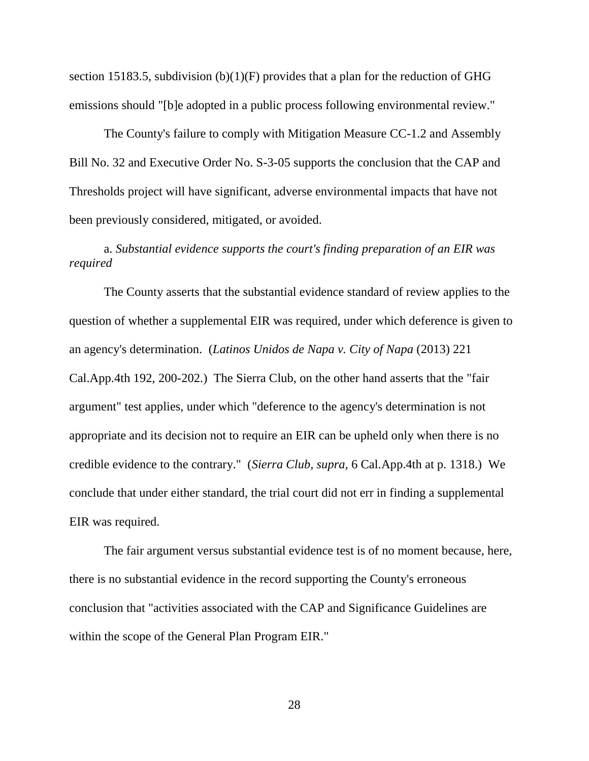section 15183.5, subdivision  $(b)(1)(F)$  provides that a plan for the reduction of GHG emissions should "[b]e adopted in a public process following environmental review."

The County's failure to comply with Mitigation Measure CC-1.2 and Assembly Bill No. 32 and Executive Order No. S-3-05 supports the conclusion that the CAP and Thresholds project will have significant, adverse environmental impacts that have not been previously considered, mitigated, or avoided.

# a. *Substantial evidence supports the court's finding preparation of an EIR was required*

The County asserts that the substantial evidence standard of review applies to the question of whether a supplemental EIR was required, under which deference is given to an agency's determination. (*Latinos Unidos de Napa v. City of Napa* (2013) 221 Cal.App.4th 192, 200-202.) The Sierra Club, on the other hand asserts that the "fair argument" test applies, under which "deference to the agency's determination is not appropriate and its decision not to require an EIR can be upheld only when there is no credible evidence to the contrary." (*Sierra Club, supra,* 6 Cal.App.4th at p. 1318.) We conclude that under either standard, the trial court did not err in finding a supplemental EIR was required.

The fair argument versus substantial evidence test is of no moment because, here, there is no substantial evidence in the record supporting the County's erroneous conclusion that "activities associated with the CAP and Significance Guidelines are within the scope of the General Plan Program EIR."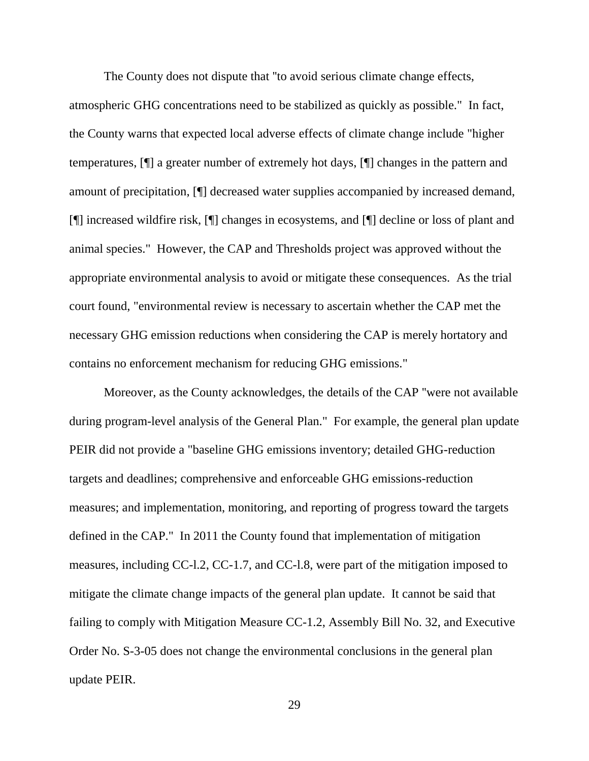The County does not dispute that ''to avoid serious climate change effects, atmospheric GHG concentrations need to be stabilized as quickly as possible." In fact, the County warns that expected local adverse effects of climate change include "higher temperatures, [¶] a greater number of extremely hot days, [¶] changes in the pattern and amount of precipitation, [¶] decreased water supplies accompanied by increased demand, [¶] increased wildfire risk, [¶] changes in ecosystems, and [¶] decline or loss of plant and animal species." However, the CAP and Thresholds project was approved without the appropriate environmental analysis to avoid or mitigate these consequences. As the trial court found, "environmental review is necessary to ascertain whether the CAP met the necessary GHG emission reductions when considering the CAP is merely hortatory and contains no enforcement mechanism for reducing GHG emissions."

Moreover, as the County acknowledges, the details of the CAP ''were not available during program-level analysis of the General Plan." For example, the general plan update PEIR did not provide a "baseline GHG emissions inventory; detailed GHG-reduction targets and deadlines; comprehensive and enforceable GHG emissions-reduction measures; and implementation, monitoring, and reporting of progress toward the targets defined in the CAP." In 2011 the County found that implementation of mitigation measures, including CC-l.2, CC-1.7, and CC-l.8, were part of the mitigation imposed to mitigate the climate change impacts of the general plan update. It cannot be said that failing to comply with Mitigation Measure CC-1.2, Assembly Bill No. 32, and Executive Order No. S-3-05 does not change the environmental conclusions in the general plan update PEIR.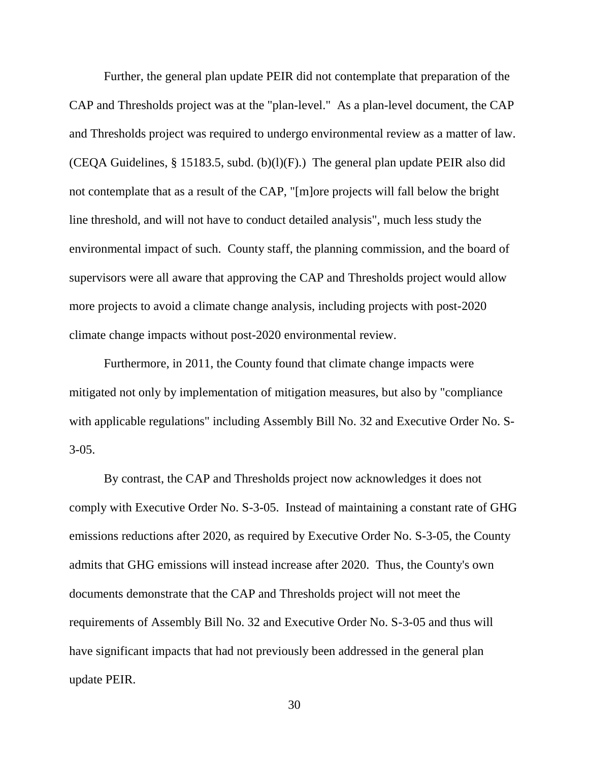Further, the general plan update PEIR did not contemplate that preparation of the CAP and Thresholds project was at the "plan-level." As a plan-level document, the CAP and Thresholds project was required to undergo environmental review as a matter of law. (CEQA Guidelines, § 15183.5, subd. (b)(l)(F).) The general plan update PEIR also did not contemplate that as a result of the CAP, "[m]ore projects will fall below the bright line threshold, and will not have to conduct detailed analysis", much less study the environmental impact of such. County staff, the planning commission, and the board of supervisors were all aware that approving the CAP and Thresholds project would allow more projects to avoid a climate change analysis, including projects with post-2020 climate change impacts without post-2020 environmental review.

Furthermore, in 2011, the County found that climate change impacts were mitigated not only by implementation of mitigation measures, but also by "compliance with applicable regulations" including Assembly Bill No. 32 and Executive Order No. S- $3-05.$ 

By contrast, the CAP and Thresholds project now acknowledges it does not comply with Executive Order No. S-3-05. Instead of maintaining a constant rate of GHG emissions reductions after 2020, as required by Executive Order No. S-3-05, the County admits that GHG emissions will instead increase after 2020. Thus, the County's own documents demonstrate that the CAP and Thresholds project will not meet the requirements of Assembly Bill No. 32 and Executive Order No. S-3-05 and thus will have significant impacts that had not previously been addressed in the general plan update PEIR.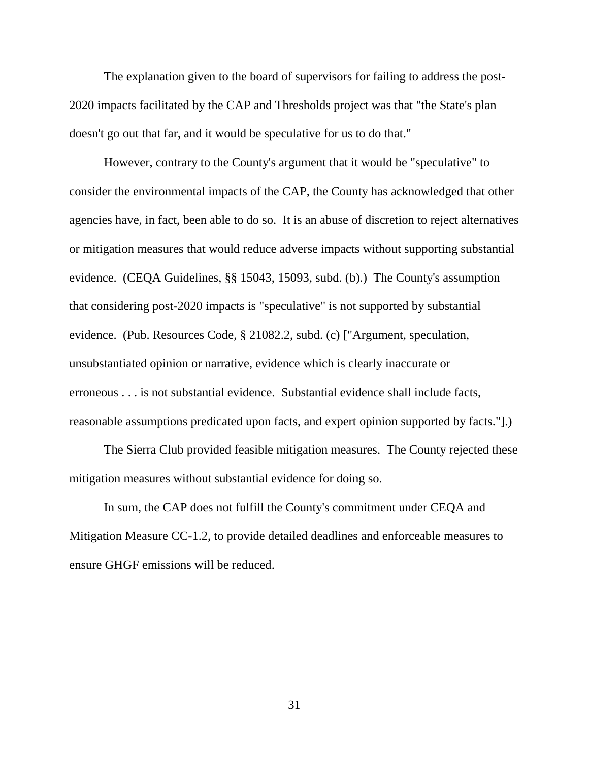The explanation given to the board of supervisors for failing to address the post-2020 impacts facilitated by the CAP and Thresholds project was that "the State's plan doesn't go out that far, and it would be speculative for us to do that."

However, contrary to the County's argument that it would be "speculative" to consider the environmental impacts of the CAP, the County has acknowledged that other agencies have, in fact, been able to do so. It is an abuse of discretion to reject alternatives or mitigation measures that would reduce adverse impacts without supporting substantial evidence. (CEQA Guidelines, §§ 15043, 15093, subd. (b).) The County's assumption that considering post-2020 impacts is "speculative" is not supported by substantial evidence. (Pub. Resources Code, § 21082.2, subd. (c) ["Argument, speculation, unsubstantiated opinion or narrative, evidence which is clearly inaccurate or erroneous . . . is not substantial evidence. Substantial evidence shall include facts, reasonable assumptions predicated upon facts, and expert opinion supported by facts."].)

The Sierra Club provided feasible mitigation measures. The County rejected these mitigation measures without substantial evidence for doing so.

In sum, the CAP does not fulfill the County's commitment under CEQA and Mitigation Measure CC-1.2, to provide detailed deadlines and enforceable measures to ensure GHGF emissions will be reduced.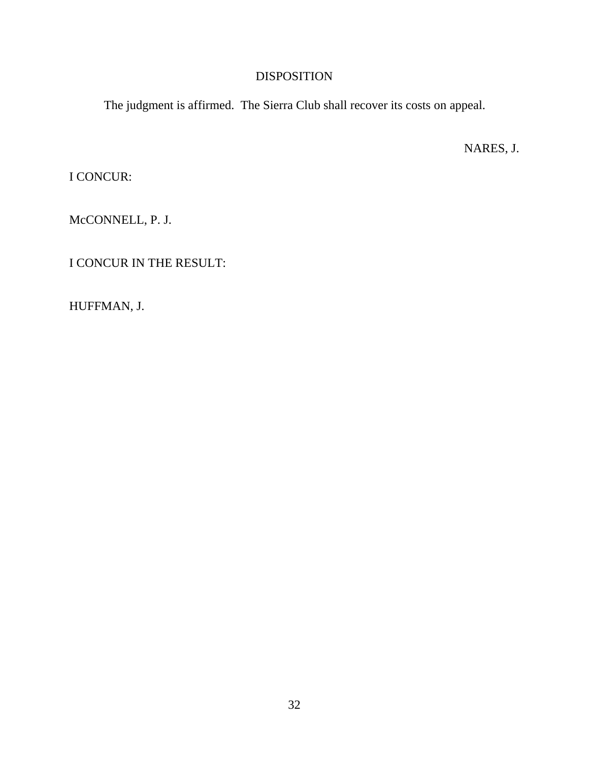# DISPOSITION

The judgment is affirmed. The Sierra Club shall recover its costs on appeal.

NARES, J.

I CONCUR:

McCONNELL, P. J.

I CONCUR IN THE RESULT:

HUFFMAN, J.